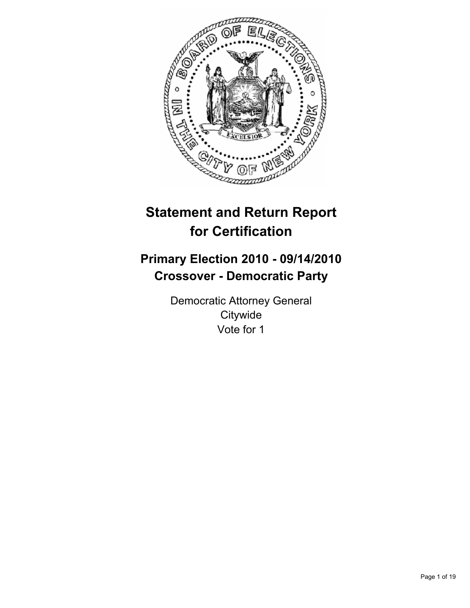

# **Statement and Return Report for Certification**

## **Primary Election 2010 - 09/14/2010 Crossover - Democratic Party**

Democratic Attorney General **Citywide** Vote for 1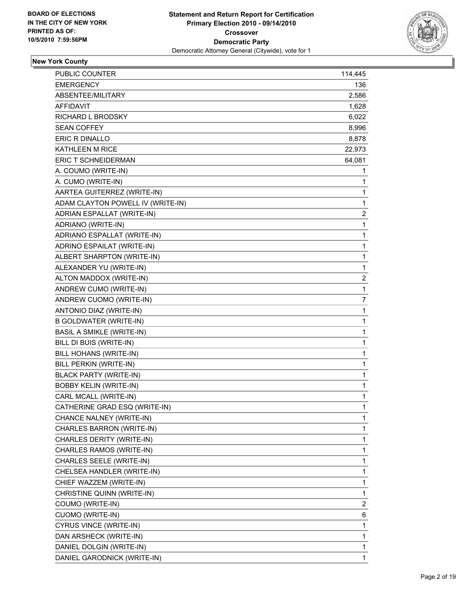

## **New York County**

| PUBLIC COUNTER                    | 114,445      |
|-----------------------------------|--------------|
| <b>EMERGENCY</b>                  | 136          |
| ABSENTEE/MILITARY                 | 2,586        |
| <b>AFFIDAVIT</b>                  | 1,628        |
| RICHARD L BRODSKY                 | 6,022        |
| <b>SEAN COFFEY</b>                | 8,996        |
| ERIC R DINALLO                    | 8,878        |
| KATHLEEN M RICE                   | 22,973       |
| ERIC T SCHNEIDERMAN               | 64,081       |
| A. COUMO (WRITE-IN)               | 1            |
| A. CUMO (WRITE-IN)                | 1            |
| AARTEA GUITERREZ (WRITE-IN)       | 1            |
| ADAM CLAYTON POWELL IV (WRITE-IN) | 1            |
| ADRIAN ESPALLAT (WRITE-IN)        | 2            |
| ADRIANO (WRITE-IN)                | 1            |
| ADRIANO ESPALLAT (WRITE-IN)       | $\mathbf 1$  |
| ADRINO ESPAILAT (WRITE-IN)        | 1            |
| ALBERT SHARPTON (WRITE-IN)        | 1            |
| ALEXANDER YU (WRITE-IN)           | 1            |
| ALTON MADDOX (WRITE-IN)           | 2            |
| ANDREW CUMO (WRITE-IN)            | 1            |
| ANDREW CUOMO (WRITE-IN)           | 7            |
| ANTONIO DIAZ (WRITE-IN)           | 1            |
| <b>B GOLDWATER (WRITE-IN)</b>     | 1            |
| <b>BASIL A SMIKLE (WRITE-IN)</b>  | 1            |
| BILL DI BUIS (WRITE-IN)           | 1            |
| BILL HOHANS (WRITE-IN)            | 1            |
| BILL PERKIN (WRITE-IN)            | $\mathbf 1$  |
| <b>BLACK PARTY (WRITE-IN)</b>     | 1            |
| <b>BOBBY KELIN (WRITE-IN)</b>     | 1            |
| CARL MCALL (WRITE-IN)             | 1            |
| CATHERINE GRAD ESQ (WRITE-IN)     | 1            |
| CHANCE NALNEY (WRITE-IN)          | 1            |
| CHARLES BARRON (WRITE-IN)         | 1            |
| CHARLES DERITY (WRITE-IN)         | 1            |
| CHARLES RAMOS (WRITE-IN)          | 1            |
| CHARLES SEELE (WRITE-IN)          | 1            |
| CHELSEA HANDLER (WRITE-IN)        | 1            |
| CHIEF WAZZEM (WRITE-IN)           | 1            |
| CHRISTINE QUINN (WRITE-IN)        | 1            |
| COUMO (WRITE-IN)                  | 2            |
| <b>CUOMO (WRITE-IN)</b>           | 6            |
| CYRUS VINCE (WRITE-IN)            | $\mathbf 1$  |
| DAN ARSHECK (WRITE-IN)            | 1            |
| DANIEL DOLGIN (WRITE-IN)          | $\mathbf{1}$ |
| DANIEL GARODNICK (WRITE-IN)       | $\mathbf{1}$ |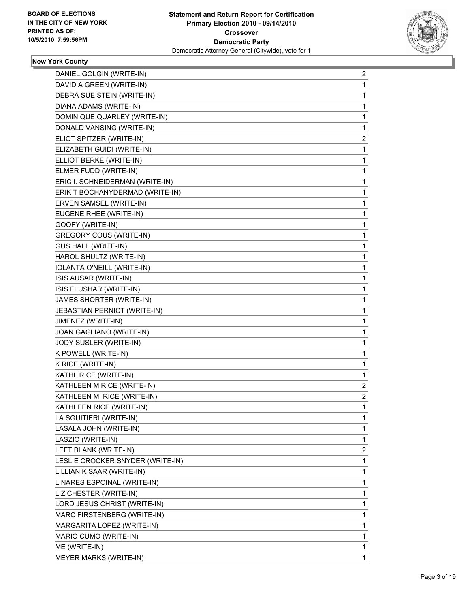

## **New York County**

| 2            |
|--------------|
| 1            |
| 1            |
| 1            |
| 1            |
| 1            |
| $\mathbf{2}$ |
| 1            |
| 1            |
| 1            |
| 1            |
| 1            |
| 1            |
| 1            |
| 1            |
| 1            |
| 1            |
| 1            |
| 1            |
| 1            |
| 1            |
| 1            |
| 1            |
| 1            |
| 1            |
| 1            |
| 1            |
| 1            |
| 1            |
| $\mathbf{2}$ |
| $\mathbf{2}$ |
| $\mathbf{1}$ |
| 1            |
| 1            |
| 1            |
| 2            |
| 1            |
| 1            |
| 1            |
|              |
| 1            |
| 1            |
| 1            |
| 1            |
| 1            |
| 1            |
|              |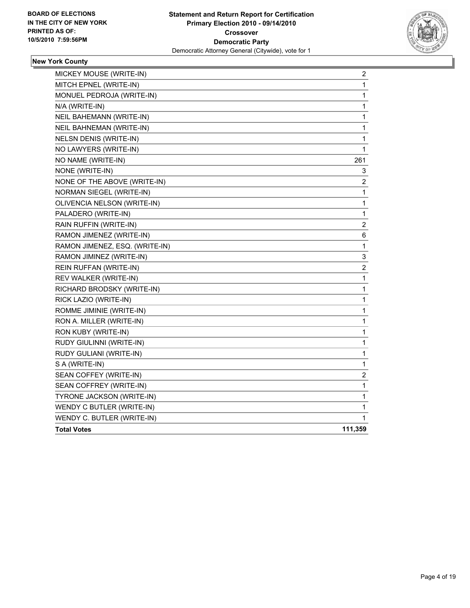

## **New York County**

| MICKEY MOUSE (WRITE-IN)        | $\overline{\mathbf{c}}$ |
|--------------------------------|-------------------------|
| MITCH EPNEL (WRITE-IN)         | 1                       |
| MONUEL PEDROJA (WRITE-IN)      | 1                       |
| N/A (WRITE-IN)                 | 1                       |
| NEIL BAHEMANN (WRITE-IN)       | 1                       |
| NEIL BAHNEMAN (WRITE-IN)       | 1                       |
| <b>NELSN DENIS (WRITE-IN)</b>  | $\mathbf 1$             |
| NO LAWYERS (WRITE-IN)          | 1                       |
| NO NAME (WRITE-IN)             | 261                     |
| NONE (WRITE-IN)                | 3                       |
| NONE OF THE ABOVE (WRITE-IN)   | 2                       |
| NORMAN SIEGEL (WRITE-IN)       | 1                       |
| OLIVENCIA NELSON (WRITE-IN)    | 1                       |
| PALADERO (WRITE-IN)            | 1                       |
| RAIN RUFFIN (WRITE-IN)         | 2                       |
| RAMON JIMENEZ (WRITE-IN)       | 6                       |
| RAMON JIMENEZ, ESQ. (WRITE-IN) | 1                       |
| RAMON JIMINEZ (WRITE-IN)       | 3                       |
| REIN RUFFAN (WRITE-IN)         | 2                       |
| REV WALKER (WRITE-IN)          | 1                       |
| RICHARD BRODSKY (WRITE-IN)     | 1                       |
| RICK LAZIO (WRITE-IN)          | 1                       |
| ROMME JIMINIE (WRITE-IN)       | 1                       |
| RON A. MILLER (WRITE-IN)       | 1                       |
| RON KUBY (WRITE-IN)            | 1                       |
| RUDY GIULINNI (WRITE-IN)       | 1                       |
| RUDY GULIANI (WRITE-IN)        | 1                       |
| S A (WRITE-IN)                 | $\mathbf 1$             |
| SEAN COFFEY (WRITE-IN)         | 2                       |
| SEAN COFFREY (WRITE-IN)        | 1                       |
| TYRONE JACKSON (WRITE-IN)      | 1                       |
| WENDY C BUTLER (WRITE-IN)      | 1                       |
| WENDY C. BUTLER (WRITE-IN)     | 1                       |
| <b>Total Votes</b>             | 111,359                 |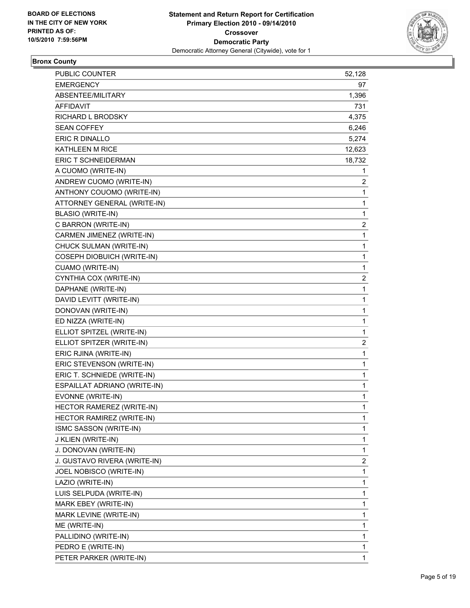

## **Bronx County**

| <b>PUBLIC COUNTER</b>        | 52,128 |
|------------------------------|--------|
| <b>EMERGENCY</b>             | 97     |
| ABSENTEE/MILITARY            | 1,396  |
| AFFIDAVIT                    | 731    |
| RICHARD L BRODSKY            | 4,375  |
| <b>SEAN COFFEY</b>           | 6,246  |
| ERIC R DINALLO               | 5,274  |
| KATHLEEN M RICE              | 12,623 |
| <b>ERIC T SCHNEIDERMAN</b>   | 18,732 |
| A CUOMO (WRITE-IN)           | 1      |
| ANDREW CUOMO (WRITE-IN)      | 2      |
| ANTHONY COUOMO (WRITE-IN)    | 1      |
| ATTORNEY GENERAL (WRITE-IN)  | 1      |
| <b>BLASIO (WRITE-IN)</b>     | 1      |
| C BARRON (WRITE-IN)          | 2      |
| CARMEN JIMENEZ (WRITE-IN)    | 1      |
| CHUCK SULMAN (WRITE-IN)      | 1      |
| COSEPH DIOBUICH (WRITE-IN)   | 1      |
| CUAMO (WRITE-IN)             | 1      |
| CYNTHIA COX (WRITE-IN)       | 2      |
| DAPHANE (WRITE-IN)           | 1      |
| DAVID LEVITT (WRITE-IN)      | 1      |
| DONOVAN (WRITE-IN)           | 1      |
| ED NIZZA (WRITE-IN)          | 1      |
| ELLIOT SPITZEL (WRITE-IN)    | 1      |
| ELLIOT SPITZER (WRITE-IN)    | 2      |
| ERIC RJINA (WRITE-IN)        | 1      |
| ERIC STEVENSON (WRITE-IN)    | 1      |
| ERIC T. SCHNIEDE (WRITE-IN)  | 1      |
| ESPAILLAT ADRIANO (WRITE-IN) | 1      |
| EVONNE (WRITE-IN)            | 1      |
| HECTOR RAMEREZ (WRITE-IN)    | 1      |
| HECTOR RAMIREZ (WRITE-IN)    | 1      |
| ISMC SASSON (WRITE-IN)       | 1      |
| J KLIEN (WRITE-IN)           | 1      |
| J. DONOVAN (WRITE-IN)        | 1      |
| J. GUSTAVO RIVERA (WRITE-IN) | 2      |
| JOEL NOBISCO (WRITE-IN)      | 1      |
| LAZIO (WRITE-IN)             | 1      |
| LUIS SELPUDA (WRITE-IN)      | 1      |
| MARK EBEY (WRITE-IN)         | 1      |
| MARK LEVINE (WRITE-IN)       | 1      |
| ME (WRITE-IN)                | 1      |
| PALLIDINO (WRITE-IN)         | 1      |
| PEDRO E (WRITE-IN)           | 1      |
| PETER PARKER (WRITE-IN)      | 1      |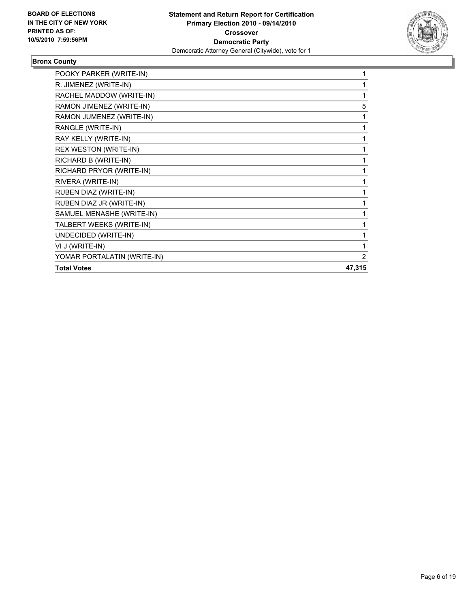

## **Bronx County**

| POOKY PARKER (WRITE-IN)     |        |
|-----------------------------|--------|
| R. JIMENEZ (WRITE-IN)       |        |
| RACHEL MADDOW (WRITE-IN)    | 1      |
| RAMON JIMENEZ (WRITE-IN)    | 5      |
| RAMON JUMENEZ (WRITE-IN)    | 1      |
| RANGLE (WRITE-IN)           | 1      |
| RAY KELLY (WRITE-IN)        | 1      |
| REX WESTON (WRITE-IN)       | 1      |
| RICHARD B (WRITE-IN)        | 1      |
| RICHARD PRYOR (WRITE-IN)    | 1      |
| RIVERA (WRITE-IN)           | 1      |
| RUBEN DIAZ (WRITE-IN)       | 1      |
| RUBEN DIAZ JR (WRITE-IN)    |        |
| SAMUEL MENASHE (WRITE-IN)   |        |
| TALBERT WEEKS (WRITE-IN)    |        |
| UNDECIDED (WRITE-IN)        | 1      |
| VI J (WRITE-IN)             | 1      |
| YOMAR PORTALATIN (WRITE-IN) | 2      |
| <b>Total Votes</b>          | 47,315 |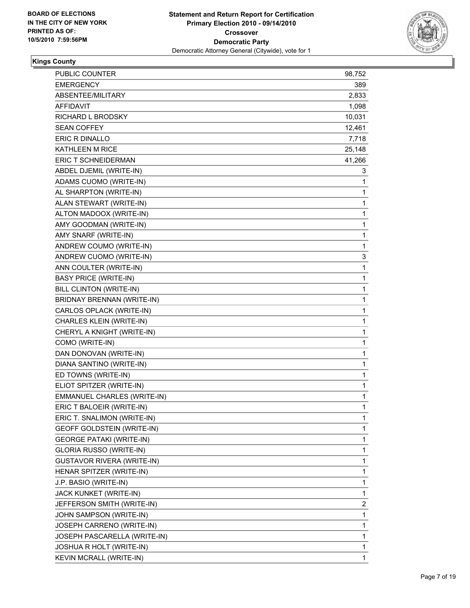

## **Kings County**

| <b>PUBLIC COUNTER</b>             | 98,752       |
|-----------------------------------|--------------|
| <b>EMERGENCY</b>                  | 389          |
| ABSENTEE/MILITARY                 | 2,833        |
| <b>AFFIDAVIT</b>                  | 1,098        |
| <b>RICHARD L BRODSKY</b>          | 10,031       |
| <b>SEAN COFFEY</b>                | 12,461       |
| ERIC R DINALLO                    | 7,718        |
| <b>KATHLEEN M RICE</b>            | 25,148       |
| ERIC T SCHNEIDERMAN               | 41,266       |
| ABDEL DJEMIL (WRITE-IN)           | 3            |
| ADAMS CUOMO (WRITE-IN)            | 1            |
| AL SHARPTON (WRITE-IN)            | 1            |
| ALAN STEWART (WRITE-IN)           | 1            |
| ALTON MADOOX (WRITE-IN)           | 1            |
| AMY GOODMAN (WRITE-IN)            | 1            |
| AMY SNARF (WRITE-IN)              | $\mathbf{1}$ |
| ANDREW COUMO (WRITE-IN)           | 1            |
| ANDREW CUOMO (WRITE-IN)           | 3            |
| ANN COULTER (WRITE-IN)            | 1            |
| <b>BASY PRICE (WRITE-IN)</b>      | 1            |
| BILL CLINTON (WRITE-IN)           | 1            |
| BRIDNAY BRENNAN (WRITE-IN)        | 1            |
| CARLOS OPLACK (WRITE-IN)          | 1            |
| CHARLES KLEIN (WRITE-IN)          | 1            |
| CHERYL A KNIGHT (WRITE-IN)        | 1            |
| COMO (WRITE-IN)                   | 1            |
| DAN DONOVAN (WRITE-IN)            | 1            |
| DIANA SANTINO (WRITE-IN)          | 1            |
| ED TOWNS (WRITE-IN)               | 1            |
| ELIOT SPITZER (WRITE-IN)          | 1            |
| EMMANUEL CHARLES (WRITE-IN)       | 1            |
| ERIC T BALOEIR (WRITE-IN)         | 1            |
| ERIC T. SNALIMON (WRITE-IN)       | 1            |
| GEOFF GOLDSTEIN (WRITE-IN)        | 1            |
| <b>GEORGE PATAKI (WRITE-IN)</b>   | 1            |
| GLORIA RUSSO (WRITE-IN)           | 1            |
| <b>GUSTAVOR RIVERA (WRITE-IN)</b> | 1            |
| HENAR SPITZER (WRITE-IN)          | 1            |
| J.P. BASIO (WRITE-IN)             | 1            |
| JACK KUNKET (WRITE-IN)            | 1            |
| JEFFERSON SMITH (WRITE-IN)        | 2            |
| JOHN SAMPSON (WRITE-IN)           | 1            |
| JOSEPH CARRENO (WRITE-IN)         | 1            |
| JOSEPH PASCARELLA (WRITE-IN)      | 1            |
| JOSHUA R HOLT (WRITE-IN)          | 1            |
| KEVIN MCRALL (WRITE-IN)           | 1            |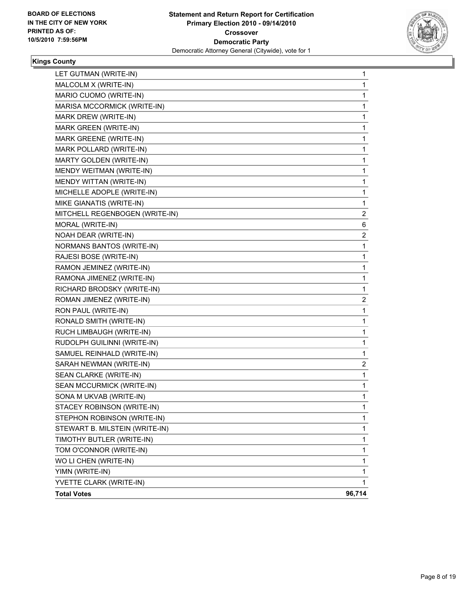

## **Kings County**

| <b>Total Votes</b>             | 96,714 |
|--------------------------------|--------|
| YVETTE CLARK (WRITE-IN)        | 1      |
| YIMN (WRITE-IN)                | 1      |
| WO LI CHEN (WRITE-IN)          | 1      |
| TOM O'CONNOR (WRITE-IN)        | 1      |
| TIMOTHY BUTLER (WRITE-IN)      | 1      |
| STEWART B. MILSTEIN (WRITE-IN) | 1      |
| STEPHON ROBINSON (WRITE-IN)    | 1      |
| STACEY ROBINSON (WRITE-IN)     | 1      |
| SONA M UKVAB (WRITE-IN)        | 1      |
| SEAN MCCURMICK (WRITE-IN)      | 1      |
| SEAN CLARKE (WRITE-IN)         | 1      |
| SARAH NEWMAN (WRITE-IN)        | 2      |
| SAMUEL REINHALD (WRITE-IN)     | 1      |
| RUDOLPH GUILINNI (WRITE-IN)    | 1      |
| RUCH LIMBAUGH (WRITE-IN)       | 1      |
| RONALD SMITH (WRITE-IN)        | 1      |
| RON PAUL (WRITE-IN)            | 1      |
| ROMAN JIMENEZ (WRITE-IN)       | 2      |
| RICHARD BRODSKY (WRITE-IN)     | 1      |
| RAMONA JIMENEZ (WRITE-IN)      | 1      |
| RAMON JEMINEZ (WRITE-IN)       | 1      |
| RAJESI BOSE (WRITE-IN)         | 1      |
| NORMANS BANTOS (WRITE-IN)      | 1      |
| NOAH DEAR (WRITE-IN)           | 2      |
| MORAL (WRITE-IN)               | 6      |
| MITCHELL REGENBOGEN (WRITE-IN) | 2      |
| MIKE GIANATIS (WRITE-IN)       | 1      |
| MICHELLE ADOPLE (WRITE-IN)     | 1      |
| MENDY WITTAN (WRITE-IN)        | 1      |
| MENDY WEITMAN (WRITE-IN)       | 1      |
| MARTY GOLDEN (WRITE-IN)        | 1      |
| MARK POLLARD (WRITE-IN)        | 1      |
| MARK GREENE (WRITE-IN)         | 1      |
| MARK GREEN (WRITE-IN)          | 1      |
| MARK DREW (WRITE-IN)           | 1      |
| MARISA MCCORMICK (WRITE-IN)    | 1      |
| MARIO CUOMO (WRITE-IN)         | 1      |
| MALCOLM X (WRITE-IN)           | 1      |
| LET GUTMAN (WRITE-IN)          | 1      |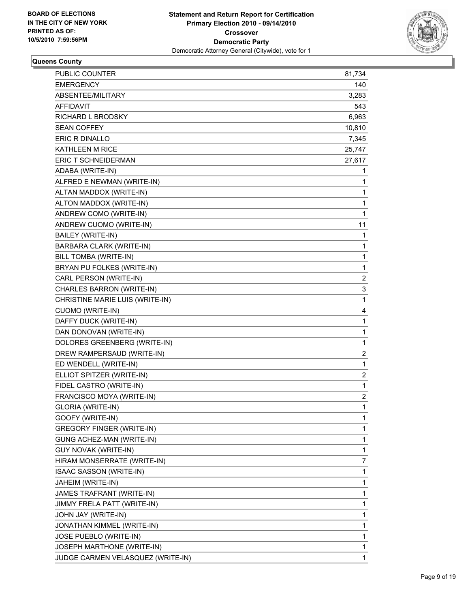

#### **Queens County**

| <b>PUBLIC COUNTER</b>             | 81,734                  |
|-----------------------------------|-------------------------|
| <b>EMERGENCY</b>                  | 140                     |
| ABSENTEE/MILITARY                 | 3,283                   |
| AFFIDAVIT                         | 543                     |
| RICHARD L BRODSKY                 | 6,963                   |
| <b>SEAN COFFEY</b>                | 10,810                  |
| ERIC R DINALLO                    | 7,345                   |
| <b>KATHLEEN M RICE</b>            | 25,747                  |
| ERIC T SCHNEIDERMAN               | 27,617                  |
| ADABA (WRITE-IN)                  | 1                       |
| ALFRED E NEWMAN (WRITE-IN)        | 1                       |
| ALTAN MADDOX (WRITE-IN)           | 1                       |
| ALTON MADDOX (WRITE-IN)           | 1                       |
| ANDREW COMO (WRITE-IN)            | 1                       |
| ANDREW CUOMO (WRITE-IN)           | 11                      |
| BAILEY (WRITE-IN)                 | 1                       |
| BARBARA CLARK (WRITE-IN)          | 1                       |
| BILL TOMBA (WRITE-IN)             | 1                       |
| BRYAN PU FOLKES (WRITE-IN)        | 1                       |
| CARL PERSON (WRITE-IN)            | 2                       |
| CHARLES BARRON (WRITE-IN)         | 3                       |
| CHRISTINE MARIE LUIS (WRITE-IN)   | $\mathbf{1}$            |
| <b>CUOMO (WRITE-IN)</b>           | 4                       |
| DAFFY DUCK (WRITE-IN)             | 1                       |
| DAN DONOVAN (WRITE-IN)            | 1                       |
| DOLORES GREENBERG (WRITE-IN)      | 1                       |
| DREW RAMPERSAUD (WRITE-IN)        | 2                       |
| ED WENDELL (WRITE-IN)             | 1                       |
| ELLIOT SPITZER (WRITE-IN)         | 2                       |
| FIDEL CASTRO (WRITE-IN)           | 1                       |
| FRANCISCO MOYA (WRITE-IN)         | $\overline{\mathbf{c}}$ |
| <b>GLORIA (WRITE-IN)</b>          | 1                       |
| GOOFY (WRITE-IN)                  | 1                       |
| GREGORY FINGER (WRITE-IN)         | 1                       |
| GUNG ACHEZ-MAN (WRITE-IN)         | 1                       |
| GUY NOVAK (WRITE-IN)              | 1                       |
| HIRAM MONSERRATE (WRITE-IN)       | 7                       |
| ISAAC SASSON (WRITE-IN)           | 1                       |
| JAHEIM (WRITE-IN)                 | 1                       |
| JAMES TRAFRANT (WRITE-IN)         | 1                       |
| JIMMY FRELA PATT (WRITE-IN)       | 1                       |
| JOHN JAY (WRITE-IN)               | 1                       |
| JONATHAN KIMMEL (WRITE-IN)        | 1                       |
| JOSE PUEBLO (WRITE-IN)            | 1                       |
| JOSEPH MARTHONE (WRITE-IN)        | 1                       |
| JUDGE CARMEN VELASQUEZ (WRITE-IN) | 1                       |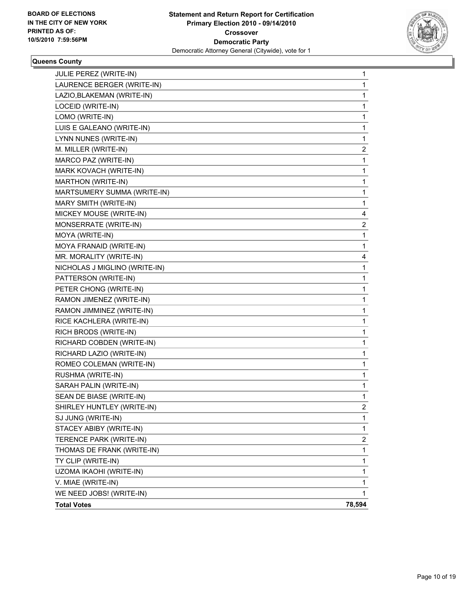

#### **Queens County**

| THOMAS DE FRANK (WRITE-IN)    | 1                       |
|-------------------------------|-------------------------|
| TERENCE PARK (WRITE-IN)       | 2                       |
| STACEY ABIBY (WRITE-IN)       | 1                       |
| SJ JUNG (WRITE-IN)            | 1                       |
| SHIRLEY HUNTLEY (WRITE-IN)    | $\overline{\mathbf{c}}$ |
| SEAN DE BIASE (WRITE-IN)      | 1                       |
| SARAH PALIN (WRITE-IN)        | 1                       |
| RUSHMA (WRITE-IN)             | 1                       |
| ROMEO COLEMAN (WRITE-IN)      | 1                       |
| RICHARD LAZIO (WRITE-IN)      | 1                       |
| RICHARD COBDEN (WRITE-IN)     | 1                       |
| RICH BRODS (WRITE-IN)         | 1                       |
| RICE KACHLERA (WRITE-IN)      | 1                       |
| RAMON JIMMINEZ (WRITE-IN)     | 1                       |
| RAMON JIMENEZ (WRITE-IN)      | 1                       |
| PETER CHONG (WRITE-IN)        | 1                       |
| PATTERSON (WRITE-IN)          | 1                       |
| NICHOLAS J MIGLINO (WRITE-IN) | 1                       |
| MR. MORALITY (WRITE-IN)       | 4                       |
| MOYA FRANAID (WRITE-IN)       | 1                       |
| MOYA (WRITE-IN)               | 1                       |
| MONSERRATE (WRITE-IN)         | 2                       |
| MICKEY MOUSE (WRITE-IN)       | 4                       |
| MARY SMITH (WRITE-IN)         | 1                       |
| MARTSUMERY SUMMA (WRITE-IN)   | 1                       |
| MARTHON (WRITE-IN)            | 1                       |
| MARK KOVACH (WRITE-IN)        | 1                       |
| MARCO PAZ (WRITE-IN)          | 1                       |
| M. MILLER (WRITE-IN)          | 2                       |
| LYNN NUNES (WRITE-IN)         | 1                       |
| LUIS E GALEANO (WRITE-IN)     | 1                       |
| LOMO (WRITE-IN)               | 1                       |
| LOCEID (WRITE-IN)             | 1                       |
| LAZIO, BLAKEMAN (WRITE-IN)    | 1                       |
| LAURENCE BERGER (WRITE-IN)    | 1                       |
| JULIE PEREZ (WRITE-IN)        | 1                       |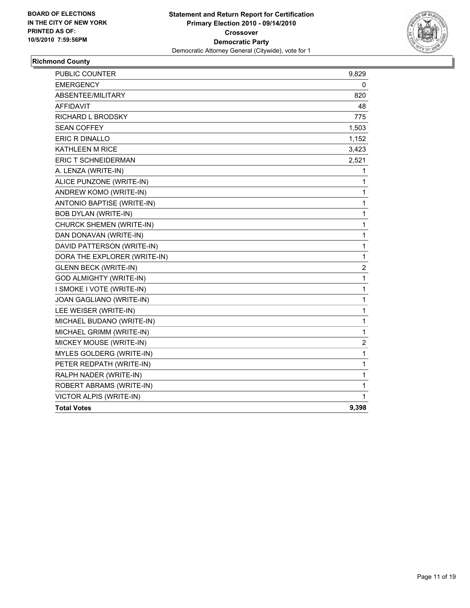

## **Richmond County**

| <b>PUBLIC COUNTER</b>          | 9,829 |
|--------------------------------|-------|
| <b>EMERGENCY</b>               | 0     |
| ABSENTEE/MILITARY              | 820   |
| <b>AFFIDAVIT</b>               | 48    |
| <b>RICHARD L BRODSKY</b>       | 775   |
| <b>SEAN COFFEY</b>             | 1,503 |
| ERIC R DINALLO                 | 1,152 |
| <b>KATHLEEN M RICE</b>         | 3,423 |
| ERIC T SCHNEIDERMAN            | 2,521 |
| A. LENZA (WRITE-IN)            | 1     |
| ALICE PUNZONE (WRITE-IN)       | 1     |
| ANDREW KOMO (WRITE-IN)         | 1     |
| ANTONIO BAPTISE (WRITE-IN)     | 1     |
| <b>BOB DYLAN (WRITE-IN)</b>    | 1     |
| CHURCK SHEMEN (WRITE-IN)       | 1     |
| DAN DONAVAN (WRITE-IN)         | 1     |
| DAVID PATTERSON (WRITE-IN)     | 1     |
| DORA THE EXPLORER (WRITE-IN)   | 1     |
| <b>GLENN BECK (WRITE-IN)</b>   | 2     |
| <b>GOD ALMIGHTY (WRITE-IN)</b> | 1     |
| I SMOKE I VOTE (WRITE-IN)      | 1     |
| JOAN GAGLIANO (WRITE-IN)       | 1     |
| LEE WEISER (WRITE-IN)          | 1     |
| MICHAEL BUDANO (WRITE-IN)      | 1     |
| MICHAEL GRIMM (WRITE-IN)       | 1     |
| MICKEY MOUSE (WRITE-IN)        | 2     |
| MYLES GOLDERG (WRITE-IN)       | 1     |
| PETER REDPATH (WRITE-IN)       | 1     |
| RALPH NADER (WRITE-IN)         | 1     |
| ROBERT ABRAMS (WRITE-IN)       | 1     |
| VICTOR ALPIS (WRITE-IN)        | 1     |
| <b>Total Votes</b>             | 9,398 |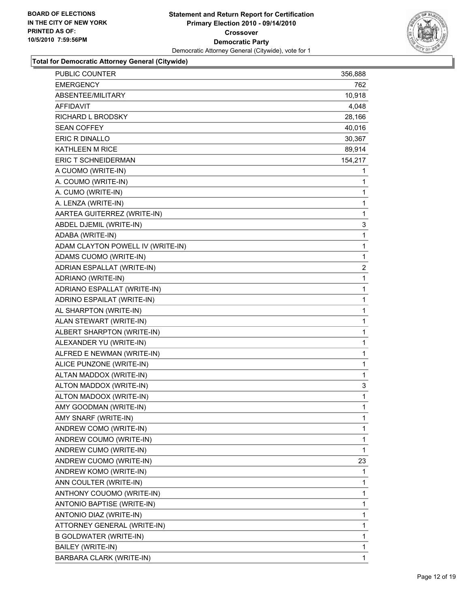

| PUBLIC COUNTER                    | 356,888        |
|-----------------------------------|----------------|
| <b>EMERGENCY</b>                  | 762            |
| ABSENTEE/MILITARY                 | 10,918         |
| AFFIDAVIT                         | 4,048          |
| RICHARD L BRODSKY                 | 28,166         |
| <b>SEAN COFFEY</b>                | 40,016         |
| ERIC R DINALLO                    | 30,367         |
| KATHLEEN M RICE                   | 89,914         |
| ERIC T SCHNEIDERMAN               | 154,217        |
| A CUOMO (WRITE-IN)                | 1              |
| A. COUMO (WRITE-IN)               | 1              |
| A. CUMO (WRITE-IN)                | 1              |
| A. LENZA (WRITE-IN)               | 1              |
| AARTEA GUITERREZ (WRITE-IN)       | 1              |
| ABDEL DJEMIL (WRITE-IN)           | 3              |
| ADABA (WRITE-IN)                  | $\mathbf 1$    |
| ADAM CLAYTON POWELL IV (WRITE-IN) | 1              |
| ADAMS CUOMO (WRITE-IN)            | $\mathbf 1$    |
| ADRIAN ESPALLAT (WRITE-IN)        | $\overline{c}$ |
| ADRIANO (WRITE-IN)                | 1              |
| ADRIANO ESPALLAT (WRITE-IN)       | 1              |
| ADRINO ESPAILAT (WRITE-IN)        | $\mathbf 1$    |
| AL SHARPTON (WRITE-IN)            | 1              |
| ALAN STEWART (WRITE-IN)           | 1              |
| ALBERT SHARPTON (WRITE-IN)        | 1              |
| ALEXANDER YU (WRITE-IN)           | 1              |
| ALFRED E NEWMAN (WRITE-IN)        | 1              |
| ALICE PUNZONE (WRITE-IN)          | $\mathbf 1$    |
| ALTAN MADDOX (WRITE-IN)           | 1              |
| ALTON MADDOX (WRITE-IN)           | 3              |
| ALTON MADOOX (WRITE-IN)           | $\mathbf 1$    |
| AMY GOODMAN (WRITE-IN)            | 1              |
| AMY SNARF (WRITE-IN)              | 1              |
| ANDREW COMO (WRITE-IN)            | 1              |
| ANDREW COUMO (WRITE-IN)           | 1              |
| ANDREW CUMO (WRITE-IN)            | 1              |
| ANDREW CUOMO (WRITE-IN)           | 23             |
| ANDREW KOMO (WRITE-IN)            | 1              |
| ANN COULTER (WRITE-IN)            | 1              |
| ANTHONY COUOMO (WRITE-IN)         | 1              |
| ANTONIO BAPTISE (WRITE-IN)        | 1              |
| ANTONIO DIAZ (WRITE-IN)           | 1              |
| ATTORNEY GENERAL (WRITE-IN)       | 1              |
| <b>B GOLDWATER (WRITE-IN)</b>     | 1              |
| BAILEY (WRITE-IN)                 | 1              |
| BARBARA CLARK (WRITE-IN)          | $\mathbf{1}$   |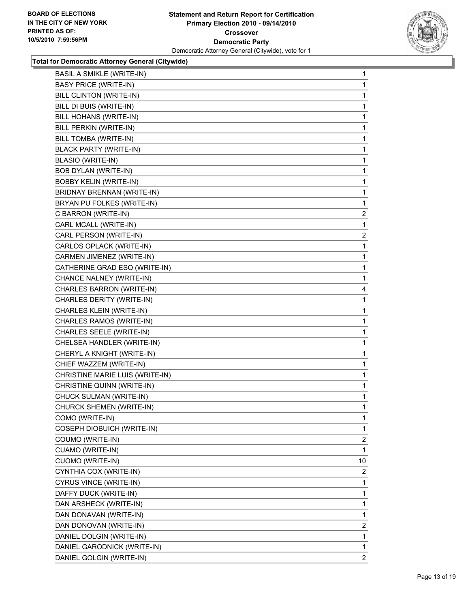

| <b>BASIL A SMIKLE (WRITE-IN)</b> | 1            |
|----------------------------------|--------------|
| <b>BASY PRICE (WRITE-IN)</b>     | 1            |
| BILL CLINTON (WRITE-IN)          | 1            |
| BILL DI BUIS (WRITE-IN)          | 1            |
| BILL HOHANS (WRITE-IN)           | 1            |
| BILL PERKIN (WRITE-IN)           | 1            |
| BILL TOMBA (WRITE-IN)            | 1            |
| <b>BLACK PARTY (WRITE-IN)</b>    | 1            |
| <b>BLASIO (WRITE-IN)</b>         | 1            |
| <b>BOB DYLAN (WRITE-IN)</b>      | 1            |
| <b>BOBBY KELIN (WRITE-IN)</b>    | 1            |
| BRIDNAY BRENNAN (WRITE-IN)       | 1            |
| BRYAN PU FOLKES (WRITE-IN)       | 1            |
| C BARRON (WRITE-IN)              | $\mathbf{2}$ |
| CARL MCALL (WRITE-IN)            | 1            |
| CARL PERSON (WRITE-IN)           | 2            |
| CARLOS OPLACK (WRITE-IN)         | 1            |
| CARMEN JIMENEZ (WRITE-IN)        | 1            |
| CATHERINE GRAD ESQ (WRITE-IN)    | 1            |
| CHANCE NALNEY (WRITE-IN)         | 1            |
| CHARLES BARRON (WRITE-IN)        | 4            |
| CHARLES DERITY (WRITE-IN)        | 1            |
| CHARLES KLEIN (WRITE-IN)         | 1            |
| CHARLES RAMOS (WRITE-IN)         | 1            |
| CHARLES SEELE (WRITE-IN)         | 1            |
| CHELSEA HANDLER (WRITE-IN)       | 1            |
| CHERYL A KNIGHT (WRITE-IN)       | 1            |
| CHIEF WAZZEM (WRITE-IN)          | 1            |
| CHRISTINE MARIE LUIS (WRITE-IN)  | 1            |
| CHRISTINE QUINN (WRITE-IN)       | 1            |
| CHUCK SULMAN (WRITE-IN)          | 1            |
| CHURCK SHEMEN (WRITE-IN)         | 1            |
| COMO (WRITE-IN)                  | 1            |
| COSEPH DIOBUICH (WRITE-IN)       | 1            |
| COUMO (WRITE-IN)                 | 2            |
| CUAMO (WRITE-IN)                 | 1            |
| <b>CUOMO (WRITE-IN)</b>          | 10           |
| CYNTHIA COX (WRITE-IN)           | 2            |
| CYRUS VINCE (WRITE-IN)           | 1            |
| DAFFY DUCK (WRITE-IN)            | 1            |
| DAN ARSHECK (WRITE-IN)           | 1            |
| DAN DONAVAN (WRITE-IN)           | 1            |
| DAN DONOVAN (WRITE-IN)           | 2            |
| DANIEL DOLGIN (WRITE-IN)         | 1            |
| DANIEL GARODNICK (WRITE-IN)      | 1            |
| DANIEL GOLGIN (WRITE-IN)         | 2            |
|                                  |              |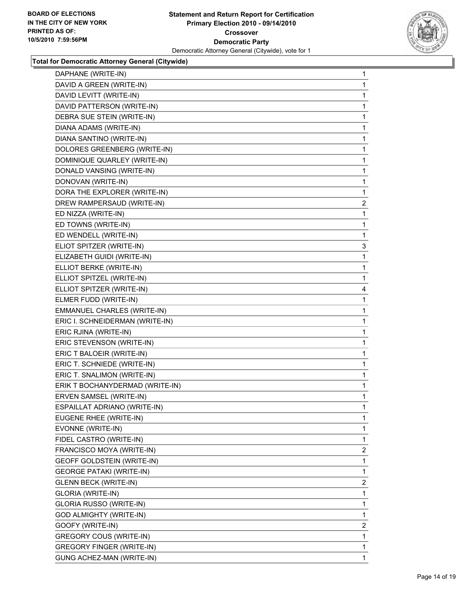

| DAPHANE (WRITE-IN)                | 1              |
|-----------------------------------|----------------|
| DAVID A GREEN (WRITE-IN)          | 1              |
| DAVID LEVITT (WRITE-IN)           | 1              |
| DAVID PATTERSON (WRITE-IN)        | 1              |
| DEBRA SUE STEIN (WRITE-IN)        | 1              |
| DIANA ADAMS (WRITE-IN)            | 1              |
| DIANA SANTINO (WRITE-IN)          | 1              |
| DOLORES GREENBERG (WRITE-IN)      | 1              |
| DOMINIQUE QUARLEY (WRITE-IN)      | 1              |
| DONALD VANSING (WRITE-IN)         | 1              |
| DONOVAN (WRITE-IN)                | 1              |
| DORA THE EXPLORER (WRITE-IN)      | 1              |
| DREW RAMPERSAUD (WRITE-IN)        | $\overline{a}$ |
| ED NIZZA (WRITE-IN)               | 1              |
| ED TOWNS (WRITE-IN)               | 1              |
| ED WENDELL (WRITE-IN)             | 1              |
| ELIOT SPITZER (WRITE-IN)          | 3              |
| ELIZABETH GUIDI (WRITE-IN)        | 1              |
| ELLIOT BERKE (WRITE-IN)           | 1              |
| ELLIOT SPITZEL (WRITE-IN)         | 1              |
| ELLIOT SPITZER (WRITE-IN)         | 4              |
| ELMER FUDD (WRITE-IN)             | 1              |
| EMMANUEL CHARLES (WRITE-IN)       | 1              |
| ERIC I. SCHNEIDERMAN (WRITE-IN)   | 1              |
| ERIC RJINA (WRITE-IN)             | 1              |
| ERIC STEVENSON (WRITE-IN)         | 1              |
| ERIC T BALOEIR (WRITE-IN)         | 1              |
| ERIC T. SCHNIEDE (WRITE-IN)       | 1              |
| ERIC T. SNALIMON (WRITE-IN)       | 1              |
| ERIK T BOCHANYDERMAD (WRITE-IN)   | 1              |
| ERVEN SAMSEL (WRITE-IN)           | 1              |
| ESPAILLAT ADRIANO (WRITE-IN)      | 1              |
| EUGENE RHEE (WRITE-IN)            | 1              |
| EVONNE (WRITE-IN)                 | 1              |
| FIDEL CASTRO (WRITE-IN)           | 1              |
| FRANCISCO MOYA (WRITE-IN)         | $\overline{2}$ |
| <b>GEOFF GOLDSTEIN (WRITE-IN)</b> | 1              |
| <b>GEORGE PATAKI (WRITE-IN)</b>   | 1              |
| <b>GLENN BECK (WRITE-IN)</b>      | $\overline{2}$ |
| <b>GLORIA (WRITE-IN)</b>          | 1              |
| GLORIA RUSSO (WRITE-IN)           | 1              |
| GOD ALMIGHTY (WRITE-IN)           | 1              |
| GOOFY (WRITE-IN)                  | 2              |
| GREGORY COUS (WRITE-IN)           | 1              |
| <b>GREGORY FINGER (WRITE-IN)</b>  | 1              |
| GUNG ACHEZ-MAN (WRITE-IN)         | 1              |
|                                   |                |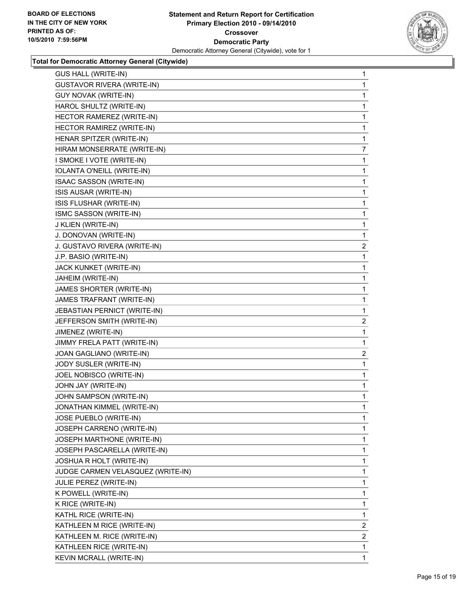

| <b>GUS HALL (WRITE-IN)</b>        | 1              |
|-----------------------------------|----------------|
| <b>GUSTAVOR RIVERA (WRITE-IN)</b> | 1              |
| <b>GUY NOVAK (WRITE-IN)</b>       | 1              |
| HAROL SHULTZ (WRITE-IN)           | 1              |
| HECTOR RAMEREZ (WRITE-IN)         | 1              |
| HECTOR RAMIREZ (WRITE-IN)         | 1              |
| HENAR SPITZER (WRITE-IN)          | 1              |
| HIRAM MONSERRATE (WRITE-IN)       | 7              |
| I SMOKE I VOTE (WRITE-IN)         | 1              |
| IOLANTA O'NEILL (WRITE-IN)        | 1              |
| ISAAC SASSON (WRITE-IN)           | 1              |
| ISIS AUSAR (WRITE-IN)             | 1              |
| ISIS FLUSHAR (WRITE-IN)           | 1              |
| ISMC SASSON (WRITE-IN)            | 1              |
| J KLIEN (WRITE-IN)                | 1              |
| J. DONOVAN (WRITE-IN)             | 1              |
| J. GUSTAVO RIVERA (WRITE-IN)      | 2              |
| J.P. BASIO (WRITE-IN)             | 1              |
| JACK KUNKET (WRITE-IN)            | 1              |
| JAHEIM (WRITE-IN)                 | 1              |
| JAMES SHORTER (WRITE-IN)          | 1              |
| JAMES TRAFRANT (WRITE-IN)         | 1              |
| JEBASTIAN PERNICT (WRITE-IN)      | 1              |
| JEFFERSON SMITH (WRITE-IN)        | 2              |
| JIMENEZ (WRITE-IN)                | 1              |
| JIMMY FRELA PATT (WRITE-IN)       | 1              |
| JOAN GAGLIANO (WRITE-IN)          | $\overline{2}$ |
| JODY SUSLER (WRITE-IN)            | 1              |
| JOEL NOBISCO (WRITE-IN)           | 1              |
| JOHN JAY (WRITE-IN)               | 1              |
| JOHN SAMPSON (WRITE-IN)           | 1              |
| JONATHAN KIMMEL (WRITE-IN)        | 1              |
| JOSE PUEBLO (WRITE-IN)            | 1              |
| JOSEPH CARRENO (WRITE-IN)         | 1              |
| JOSEPH MARTHONE (WRITE-IN)        | 1              |
| JOSEPH PASCARELLA (WRITE-IN)      | 1              |
| JOSHUA R HOLT (WRITE-IN)          | 1              |
| JUDGE CARMEN VELASQUEZ (WRITE-IN) | 1              |
| JULIE PEREZ (WRITE-IN)            | 1              |
| K POWELL (WRITE-IN)               | 1              |
| K RICE (WRITE-IN)                 | 1              |
| KATHL RICE (WRITE-IN)             | 1              |
| KATHLEEN M RICE (WRITE-IN)        | 2              |
| KATHLEEN M. RICE (WRITE-IN)       | 2              |
| KATHLEEN RICE (WRITE-IN)          | 1              |
| KEVIN MCRALL (WRITE-IN)           | $\mathbf{1}$   |
|                                   |                |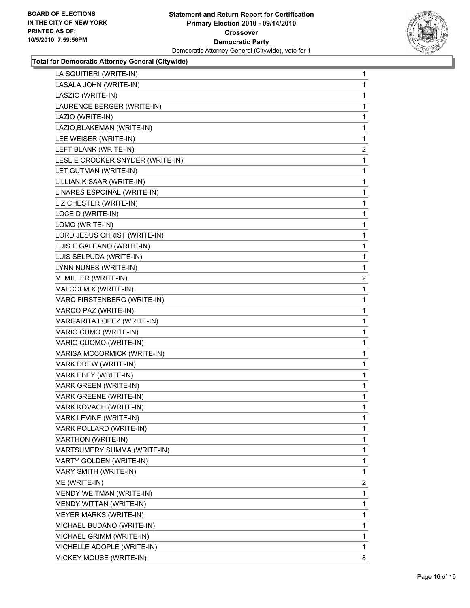

| LA SGUITIERI (WRITE-IN)          | 1            |
|----------------------------------|--------------|
| LASALA JOHN (WRITE-IN)           | 1            |
| LASZIO (WRITE-IN)                | 1            |
| LAURENCE BERGER (WRITE-IN)       | 1            |
| LAZIO (WRITE-IN)                 | 1            |
| LAZIO, BLAKEMAN (WRITE-IN)       | 1            |
| LEE WEISER (WRITE-IN)            | 1            |
| LEFT BLANK (WRITE-IN)            | $\mathbf{2}$ |
| LESLIE CROCKER SNYDER (WRITE-IN) | 1            |
| LET GUTMAN (WRITE-IN)            | 1            |
| LILLIAN K SAAR (WRITE-IN)        | 1            |
| LINARES ESPOINAL (WRITE-IN)      | 1            |
| LIZ CHESTER (WRITE-IN)           | 1            |
| LOCEID (WRITE-IN)                | 1            |
| LOMO (WRITE-IN)                  | 1            |
| LORD JESUS CHRIST (WRITE-IN)     | 1            |
| LUIS E GALEANO (WRITE-IN)        | 1            |
| LUIS SELPUDA (WRITE-IN)          | 1            |
| LYNN NUNES (WRITE-IN)            | 1            |
| M. MILLER (WRITE-IN)             | 2            |
| MALCOLM X (WRITE-IN)             | 1            |
| MARC FIRSTENBERG (WRITE-IN)      | 1            |
| MARCO PAZ (WRITE-IN)             | 1            |
| MARGARITA LOPEZ (WRITE-IN)       | 1            |
| MARIO CUMO (WRITE-IN)            | 1            |
| MARIO CUOMO (WRITE-IN)           | 1            |
| MARISA MCCORMICK (WRITE-IN)      | 1            |
| MARK DREW (WRITE-IN)             | 1            |
| MARK EBEY (WRITE-IN)             | 1            |
| MARK GREEN (WRITE-IN)            | 1            |
| MARK GREENE (WRITE-IN)           | 1            |
| MARK KOVACH (WRITE-IN)           | 1            |
| MARK LEVINE (WRITE-IN)           | 1            |
| MARK POLLARD (WRITE-IN)          | $\mathbf{1}$ |
| MARTHON (WRITE-IN)               | 1            |
| MARTSUMERY SUMMA (WRITE-IN)      | 1            |
| MARTY GOLDEN (WRITE-IN)          | 1            |
| MARY SMITH (WRITE-IN)            | 1            |
| ME (WRITE-IN)                    | 2            |
| MENDY WEITMAN (WRITE-IN)         | 1            |
| MENDY WITTAN (WRITE-IN)          | 1            |
| <b>MEYER MARKS (WRITE-IN)</b>    | 1            |
| MICHAEL BUDANO (WRITE-IN)        | 1            |
| MICHAEL GRIMM (WRITE-IN)         | 1            |
| MICHELLE ADOPLE (WRITE-IN)       | 1            |
| MICKEY MOUSE (WRITE-IN)          | 8            |
|                                  |              |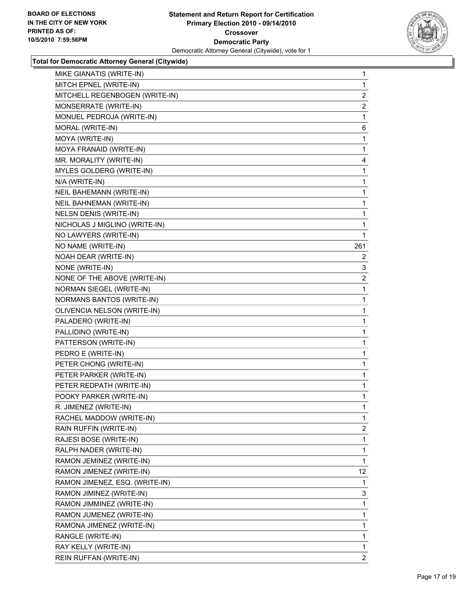

| MIKE GIANATIS (WRITE-IN)       | 1              |
|--------------------------------|----------------|
| MITCH EPNEL (WRITE-IN)         | 1              |
| MITCHELL REGENBOGEN (WRITE-IN) | 2              |
| MONSERRATE (WRITE-IN)          | $\overline{2}$ |
| MONUEL PEDROJA (WRITE-IN)      | 1              |
| MORAL (WRITE-IN)               | 6              |
| MOYA (WRITE-IN)                | 1              |
| MOYA FRANAID (WRITE-IN)        | 1              |
| MR. MORALITY (WRITE-IN)        | 4              |
| MYLES GOLDERG (WRITE-IN)       | 1              |
| N/A (WRITE-IN)                 | 1              |
| NEIL BAHEMANN (WRITE-IN)       | 1              |
| NEIL BAHNEMAN (WRITE-IN)       | 1              |
| <b>NELSN DENIS (WRITE-IN)</b>  | 1              |
| NICHOLAS J MIGLINO (WRITE-IN)  | 1              |
| NO LAWYERS (WRITE-IN)          | 1              |
| NO NAME (WRITE-IN)             | 261            |
| NOAH DEAR (WRITE-IN)           | 2              |
| NONE (WRITE-IN)                | 3              |
| NONE OF THE ABOVE (WRITE-IN)   | 2              |
| NORMAN SIEGEL (WRITE-IN)       | 1              |
| NORMANS BANTOS (WRITE-IN)      | 1              |
| OLIVENCIA NELSON (WRITE-IN)    | 1              |
| PALADERO (WRITE-IN)            | 1              |
| PALLIDINO (WRITE-IN)           | 1              |
| PATTERSON (WRITE-IN)           | 1              |
| PEDRO E (WRITE-IN)             | 1              |
| PETER CHONG (WRITE-IN)         | 1              |
| PETER PARKER (WRITE-IN)        | 1              |
| PETER REDPATH (WRITE-IN)       | 1              |
| POOKY PARKER (WRITE-IN)        | 1              |
| R. JIMENEZ (WRITE-IN)          | 1              |
| RACHEL MADDOW (WRITE-IN)       | 1              |
| RAIN RUFFIN (WRITE-IN)         | 2              |
| RAJESI BOSE (WRITE-IN)         | 1              |
| RALPH NADER (WRITE-IN)         | 1              |
| RAMON JEMINEZ (WRITE-IN)       | 1              |
| RAMON JIMENEZ (WRITE-IN)       | 12             |
| RAMON JIMENEZ, ESQ. (WRITE-IN) | 1              |
| RAMON JIMINEZ (WRITE-IN)       | 3              |
| RAMON JIMMINEZ (WRITE-IN)      | 1              |
| RAMON JUMENEZ (WRITE-IN)       | 1              |
| RAMONA JIMENEZ (WRITE-IN)      | 1              |
| RANGLE (WRITE-IN)              | 1              |
| RAY KELLY (WRITE-IN)           | 1              |
| REIN RUFFAN (WRITE-IN)         | $\mathbf{2}$   |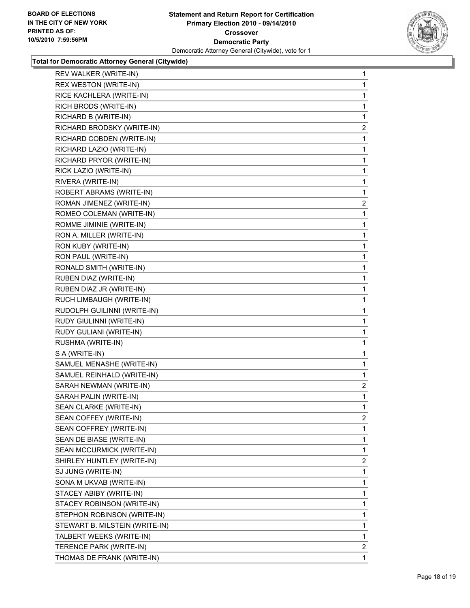

| REV WALKER (WRITE-IN)          | 1                       |
|--------------------------------|-------------------------|
| <b>REX WESTON (WRITE-IN)</b>   | 1                       |
| RICE KACHLERA (WRITE-IN)       | 1                       |
| RICH BRODS (WRITE-IN)          | 1                       |
| RICHARD B (WRITE-IN)           | 1                       |
| RICHARD BRODSKY (WRITE-IN)     | $\mathbf{2}$            |
| RICHARD COBDEN (WRITE-IN)      | 1                       |
| RICHARD LAZIO (WRITE-IN)       | 1                       |
| RICHARD PRYOR (WRITE-IN)       | 1                       |
| RICK LAZIO (WRITE-IN)          | 1                       |
| RIVERA (WRITE-IN)              | 1                       |
| ROBERT ABRAMS (WRITE-IN)       | 1                       |
| ROMAN JIMENEZ (WRITE-IN)       | 2                       |
| ROMEO COLEMAN (WRITE-IN)       | 1                       |
| ROMME JIMINIE (WRITE-IN)       | 1                       |
| RON A. MILLER (WRITE-IN)       | 1                       |
| RON KUBY (WRITE-IN)            | 1                       |
| RON PAUL (WRITE-IN)            | 1                       |
| RONALD SMITH (WRITE-IN)        | 1                       |
| RUBEN DIAZ (WRITE-IN)          | 1                       |
| RUBEN DIAZ JR (WRITE-IN)       | 1                       |
| RUCH LIMBAUGH (WRITE-IN)       | 1                       |
| RUDOLPH GUILINNI (WRITE-IN)    | 1                       |
| RUDY GIULINNI (WRITE-IN)       | 1                       |
| RUDY GULIANI (WRITE-IN)        | 1                       |
| RUSHMA (WRITE-IN)              | 1                       |
| S A (WRITE-IN)                 | 1                       |
| SAMUEL MENASHE (WRITE-IN)      | 1                       |
| SAMUEL REINHALD (WRITE-IN)     | 1                       |
| SARAH NEWMAN (WRITE-IN)        | $\mathbf{2}$            |
| SARAH PALIN (WRITE-IN)         | 1                       |
| SEAN CLARKE (WRITE-IN)         | 1                       |
| SEAN COFFEY (WRITE-IN)         | $\overline{\mathbf{c}}$ |
| SEAN COFFREY (WRITE-IN)        | 1                       |
| SEAN DE BIASE (WRITE-IN)       | 1                       |
| SEAN MCCURMICK (WRITE-IN)      | 1                       |
| SHIRLEY HUNTLEY (WRITE-IN)     | 2                       |
| SJ JUNG (WRITE-IN)             | 1                       |
| SONA M UKVAB (WRITE-IN)        | 1                       |
| STACEY ABIBY (WRITE-IN)        | 1                       |
| STACEY ROBINSON (WRITE-IN)     | 1                       |
| STEPHON ROBINSON (WRITE-IN)    | 1                       |
| STEWART B. MILSTEIN (WRITE-IN) | 1                       |
| TALBERT WEEKS (WRITE-IN)       | 1                       |
|                                |                         |
| TERENCE PARK (WRITE-IN)        | $\mathbf{2}$            |